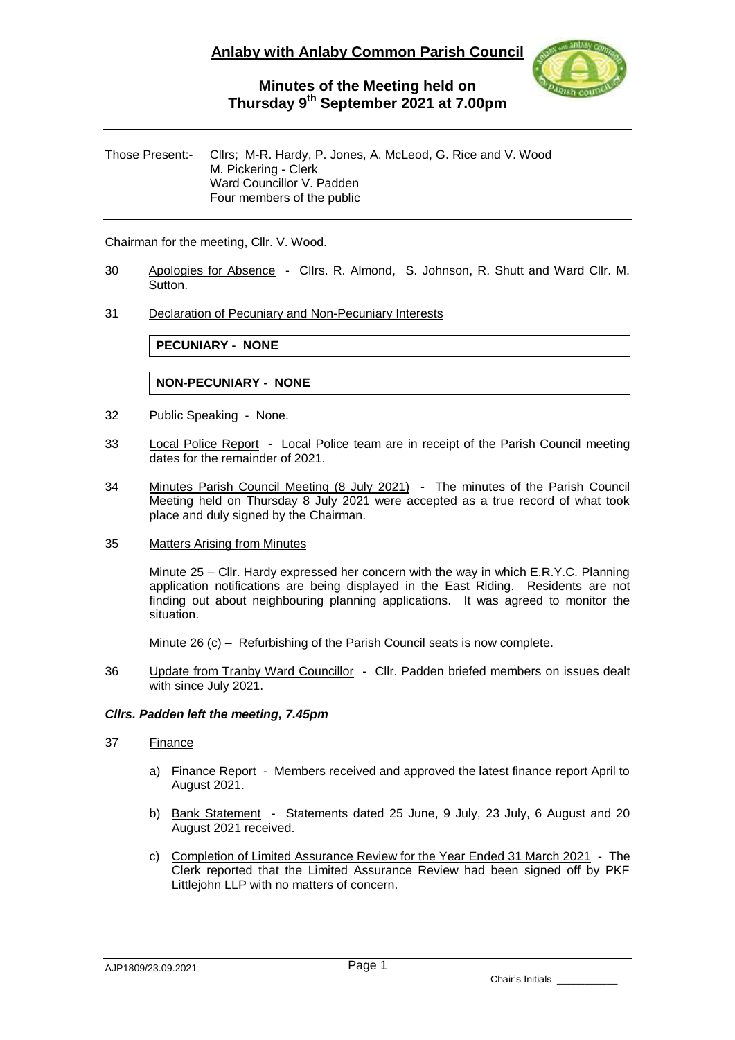

#### Those Present:- Cllrs; M-R. Hardy, P. Jones, A. McLeod, G. Rice and V. Wood M. Pickering - Clerk Ward Councillor V. Padden Four members of the public

Chairman for the meeting, Cllr. V. Wood.

30 Apologies for Absence - Cllrs. R. Almond, S. Johnson, R. Shutt and Ward Cllr. M. Sutton.

#### 31 Declaration of Pecuniary and Non-Pecuniary Interests

**PECUNIARY - NONE**

**NON-PECUNIARY - NONE**

- 32 Public Speaking None.
- 33 Local Police Report Local Police team are in receipt of the Parish Council meeting dates for the remainder of 2021.
- 34 Minutes Parish Council Meeting (8 July 2021) The minutes of the Parish Council Meeting held on Thursday 8 July 2021 were accepted as a true record of what took place and duly signed by the Chairman.
- 35 Matters Arising from Minutes

Minute 25 – Cllr. Hardy expressed her concern with the way in which E.R.Y.C. Planning application notifications are being displayed in the East Riding. Residents are not finding out about neighbouring planning applications. It was agreed to monitor the situation.

Minute 26 (c) – Refurbishing of the Parish Council seats is now complete.

36 Update from Tranby Ward Councillor - Cllr. Padden briefed members on issues dealt with since July 2021.

#### *Cllrs. Padden left the meeting, 7.45pm*

#### 37 Finance

- a) Finance Report Members received and approved the latest finance report April to August 2021.
- b) Bank Statement Statements dated 25 June, 9 July, 23 July, 6 August and 20 August 2021 received.
- c) Completion of Limited Assurance Review for the Year Ended 31 March 2021 The Clerk reported that the Limited Assurance Review had been signed off by PKF Littlejohn LLP with no matters of concern.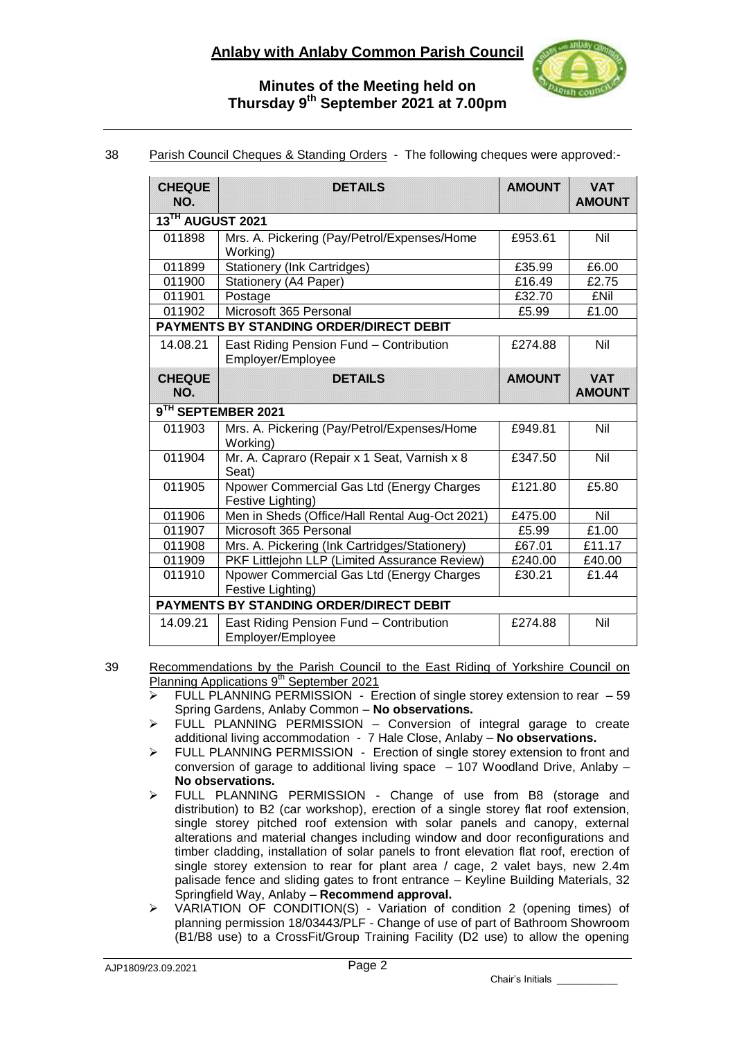

### 38 Parish Council Cheques & Standing Orders - The following cheques were approved:-

| <b>CHEQUE</b><br>NO.                           | <b>DETAILS</b>                                                 | <b>AMOUNT</b> | <b>VAT</b><br><b>AMOUNT</b> |
|------------------------------------------------|----------------------------------------------------------------|---------------|-----------------------------|
| 13TH AUGUST 2021                               |                                                                |               |                             |
| 011898                                         | Mrs. A. Pickering (Pay/Petrol/Expenses/Home<br>Working)        | £953.61       | Nil                         |
| 011899                                         | <b>Stationery (Ink Cartridges)</b>                             | £35.99        | £6.00                       |
| 011900                                         | Stationery (A4 Paper)                                          | £16.49        | £2.75                       |
| 011901                                         | Postage                                                        | £32.70        | <b>£Nil</b>                 |
| 011902                                         | Microsoft 365 Personal                                         | £5.99         | £1.00                       |
| PAYMENTS BY STANDING ORDER/DIRECT DEBIT        |                                                                |               |                             |
| 14.08.21                                       | East Riding Pension Fund - Contribution<br>Employer/Employee   | £274.88       | Nil                         |
| <b>CHEQUE</b><br>NO.                           | <b>DETAILS</b>                                                 | <b>AMOUNT</b> | <b>VAT</b><br><b>AMOUNT</b> |
| 9 <sup>TH</sup> SEPTEMBER 2021                 |                                                                |               |                             |
| 011903                                         | Mrs. A. Pickering (Pay/Petrol/Expenses/Home<br>Working)        | £949.81       | Nil                         |
| 011904                                         | Mr. A. Capraro (Repair x 1 Seat, Varnish x 8<br>Seat)          | £347.50       | Nil                         |
| 011905                                         | Npower Commercial Gas Ltd (Energy Charges<br>Festive Lighting) | £121.80       | £5.80                       |
| 011906                                         | Men in Sheds (Office/Hall Rental Aug-Oct 2021)                 | £475.00       | Nil                         |
| 011907                                         | Microsoft 365 Personal                                         | £5.99         | £1.00                       |
| 011908                                         | Mrs. A. Pickering (Ink Cartridges/Stationery)                  | £67.01        | £11.17                      |
| 011909                                         | PKF Littlejohn LLP (Limited Assurance Review)                  | £240.00       | £40.00                      |
| 011910                                         | Npower Commercial Gas Ltd (Energy Charges<br>Festive Lighting) | £30.21        | £1.44                       |
| <b>PAYMENTS BY STANDING ORDER/DIRECT DEBIT</b> |                                                                |               |                             |
| 14.09.21                                       | East Riding Pension Fund - Contribution<br>Employer/Employee   | £274.88       | Nil                         |

39 Recommendations by the Parish Council to the East Riding of Yorkshire Council on Planning Applications 9<sup>th</sup> September 2021

- $\triangleright$  FULL PLANNING PERMISSION Erection of single storey extension to rear  $-59$ Spring Gardens, Anlaby Common – **No observations.**
- $\triangleright$  FULL PLANNING PERMISSION Conversion of integral garage to create additional living accommodation - 7 Hale Close, Anlaby – **No observations.**
- > FULL PLANNING PERMISSION Erection of single storey extension to front and conversion of garage to additional living space – 107 Woodland Drive, Anlaby – **No observations.**
- FULL PLANNING PERMISSION Change of use from B8 (storage and distribution) to B2 (car workshop), erection of a single storey flat roof extension, single storey pitched roof extension with solar panels and canopy, external alterations and material changes including window and door reconfigurations and timber cladding, installation of solar panels to front elevation flat roof, erection of single storey extension to rear for plant area / cage, 2 valet bays, new 2.4m palisade fence and sliding gates to front entrance – Keyline Building Materials, 32 Springfield Way, Anlaby – **Recommend approval.**
- > VARIATION OF CONDITION(S) Variation of condition 2 (opening times) of planning permission 18/03443/PLF - Change of use of part of Bathroom Showroom (B1/B8 use) to a CrossFit/Group Training Facility (D2 use) to allow the opening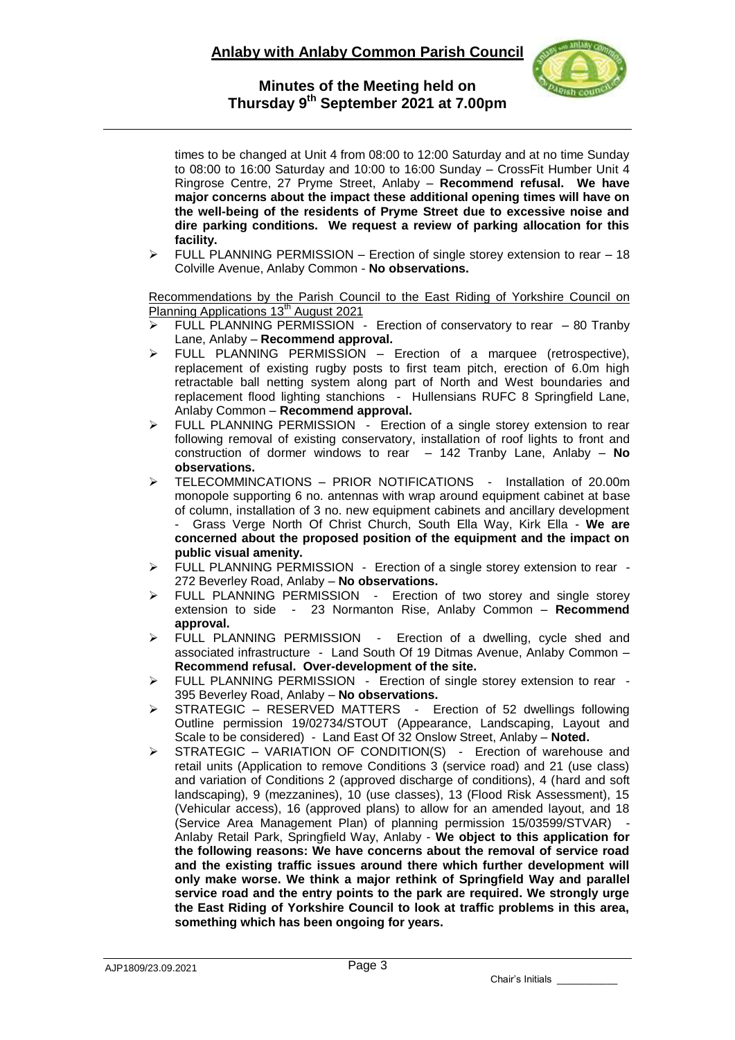

times to be changed at Unit 4 from 08:00 to 12:00 Saturday and at no time Sunday to 08:00 to 16:00 Saturday and 10:00 to 16:00 Sunday – CrossFit Humber Unit 4 Ringrose Centre, 27 Pryme Street, Anlaby – **Recommend refusal. We have major concerns about the impact these additional opening times will have on the well-being of the residents of Pryme Street due to excessive noise and dire parking conditions. We request a review of parking allocation for this facility.**

 $\triangleright$  FULL PLANNING PERMISSION – Erection of single storey extension to rear – 18 Colville Avenue, Anlaby Common - **No observations.**

Recommendations by the Parish Council to the East Riding of Yorkshire Council on Planning Applications 13<sup>th</sup> August 2021

- ►<br>► FULL PLANNING PERMISSION Erection of conservatory to rear 80 Tranby Lane, Anlaby – **Recommend approval.**
- FULL PLANNING PERMISSION Erection of a marquee (retrospective), replacement of existing rugby posts to first team pitch, erection of 6.0m high retractable ball netting system along part of North and West boundaries and replacement flood lighting stanchions - Hullensians RUFC 8 Springfield Lane, Anlaby Common – **Recommend approval.**
- > FULL PLANNING PERMISSION Erection of a single storey extension to rear following removal of existing conservatory, installation of roof lights to front and construction of dormer windows to rear – 142 Tranby Lane, Anlaby – **No observations.**
- $\triangleright$  TELECOMMINCATIONS PRIOR NOTIFICATIONS Installation of 20.00m monopole supporting 6 no. antennas with wrap around equipment cabinet at base of column, installation of 3 no. new equipment cabinets and ancillary development - Grass Verge North Of Christ Church, South Ella Way, Kirk Ella - **We are concerned about the proposed position of the equipment and the impact on public visual amenity.**
- $\triangleright$  FULL PLANNING PERMISSION Erection of a single storey extension to rear -272 Beverley Road, Anlaby – **No observations.**
- $\triangleright$  FULL PLANNING PERMISSION Erection of two storey and single storey extension to side - 23 Normanton Rise, Anlaby Common – **Recommend approval.**
- FULL PLANNING PERMISSION Erection of a dwelling, cycle shed and associated infrastructure - Land South Of 19 Ditmas Avenue, Anlaby Common – **Recommend refusal. Over-development of the site.**
- > FULL PLANNING PERMISSION Erection of single storey extension to rear -395 Beverley Road, Anlaby – **No observations.**
- $\triangleright$  STRATEGIC RESERVED MATTERS Erection of 52 dwellings following Outline permission 19/02734/STOUT (Appearance, Landscaping, Layout and Scale to be considered) - Land East Of 32 Onslow Street, Anlaby – **Noted.**
- $\triangleright$  STRATEGIC VARIATION OF CONDITION(S) Erection of warehouse and retail units (Application to remove Conditions 3 (service road) and 21 (use class) and variation of Conditions 2 (approved discharge of conditions), 4 (hard and soft landscaping), 9 (mezzanines), 10 (use classes), 13 (Flood Risk Assessment), 15 (Vehicular access), 16 (approved plans) to allow for an amended layout, and 18 (Service Area Management Plan) of planning permission 15/03599/STVAR) Anlaby Retail Park, Springfield Way, Anlaby - **We object to this application for the following reasons: We have concerns about the removal of service road and the existing traffic issues around there which further development will only make worse. We think a major rethink of Springfield Way and parallel service road and the entry points to the park are required. We strongly urge the East Riding of Yorkshire Council to look at traffic problems in this area, something which has been ongoing for years.**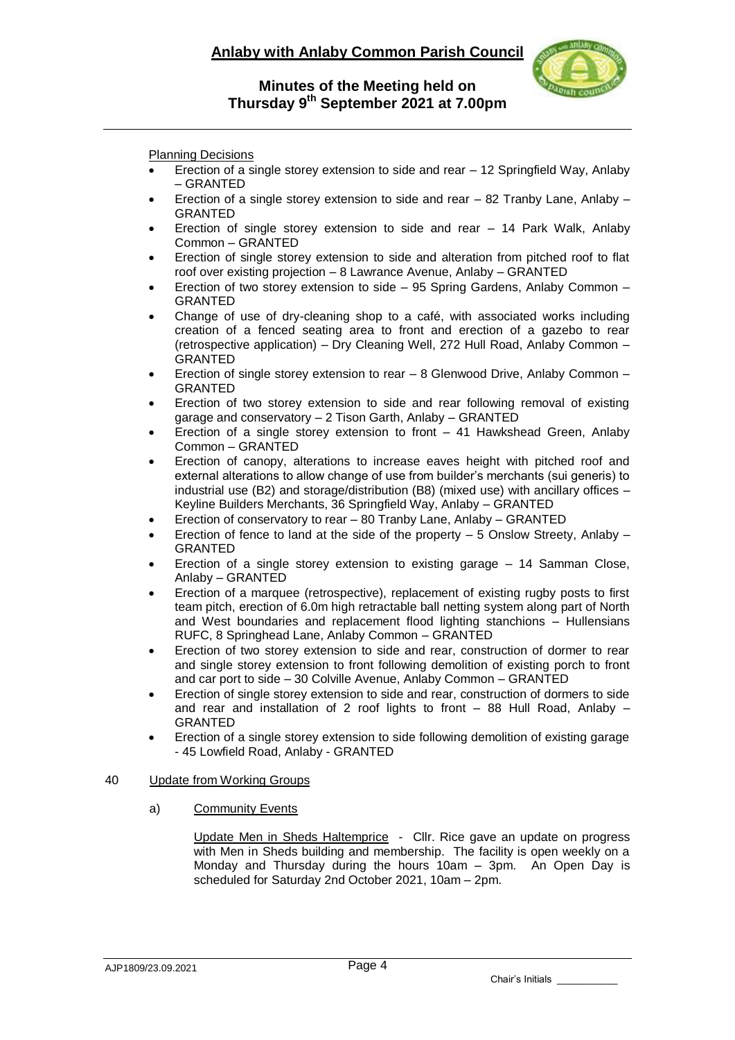# **Anlaby with Anlaby Common Parish Council**



**Minutes of the Meeting held on Thursday 9 th September 2021 at 7.00pm**

Planning Decisions

- Erection of a single storey extension to side and rear 12 Springfield Way, Anlaby – GRANTED
- Erection of a single storey extension to side and rear 82 Tranby Lane, Anlaby GRANTED
- Erection of single storey extension to side and rear 14 Park Walk, Anlaby Common – GRANTED
- Erection of single storey extension to side and alteration from pitched roof to flat roof over existing projection – 8 Lawrance Avenue, Anlaby – GRANTED
- Erection of two storey extension to side 95 Spring Gardens, Anlaby Common GRANTED
- Change of use of dry-cleaning shop to a café, with associated works including creation of a fenced seating area to front and erection of a gazebo to rear (retrospective application) – Dry Cleaning Well, 272 Hull Road, Anlaby Common – GRANTED
- Erection of single storey extension to rear 8 Glenwood Drive, Anlaby Common GRANTED
- Erection of two storey extension to side and rear following removal of existing garage and conservatory – 2 Tison Garth, Anlaby – GRANTED
- Erection of a single storey extension to front 41 Hawkshead Green, Anlaby Common – GRANTED
- Erection of canopy, alterations to increase eaves height with pitched roof and external alterations to allow change of use from builder's merchants (sui generis) to industrial use (B2) and storage/distribution (B8) (mixed use) with ancillary offices – Keyline Builders Merchants, 36 Springfield Way, Anlaby – GRANTED
- Erection of conservatory to rear 80 Tranby Lane, Anlaby GRANTED
- Erection of fence to land at the side of the property 5 Onslow Streety, Anlaby GRANTED
- Erection of a single storey extension to existing garage 14 Samman Close, Anlaby – GRANTED
- Erection of a marquee (retrospective), replacement of existing rugby posts to first team pitch, erection of 6.0m high retractable ball netting system along part of North and West boundaries and replacement flood lighting stanchions – Hullensians RUFC, 8 Springhead Lane, Anlaby Common – GRANTED
- Erection of two storey extension to side and rear, construction of dormer to rear and single storey extension to front following demolition of existing porch to front and car port to side – 30 Colville Avenue, Anlaby Common – GRANTED
- Erection of single storey extension to side and rear, construction of dormers to side and rear and installation of 2 roof lights to front – 88 Hull Road, Anlaby – GRANTED
- Erection of a single storey extension to side following demolition of existing garage - 45 Lowfield Road, Anlaby - GRANTED

### 40 Update from Working Groups

a) Community Events

Update Men in Sheds Haltemprice - Cllr. Rice gave an update on progress with Men in Sheds building and membership. The facility is open weekly on a Monday and Thursday during the hours 10am – 3pm. An Open Day is scheduled for Saturday 2nd October 2021, 10am – 2pm.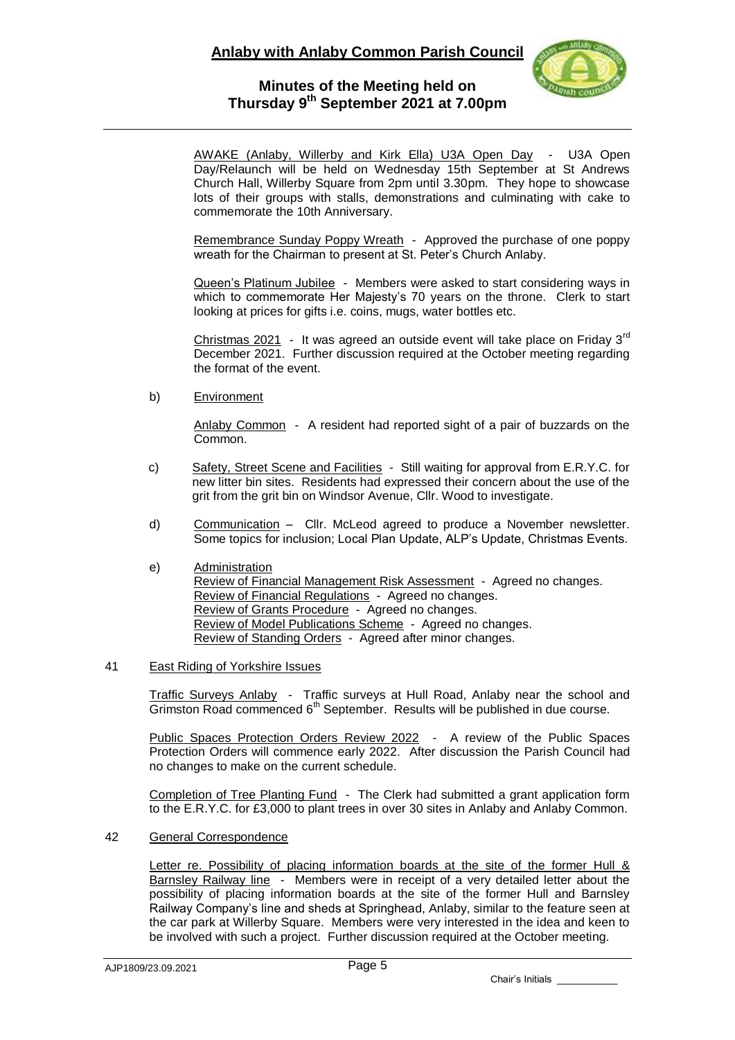# **Anlaby with Anlaby Common Parish Council**



### **Minutes of the Meeting held on Thursday 9 th September 2021 at 7.00pm**

AWAKE (Anlaby, Willerby and Kirk Ella) U3A Open Day - U3A Open Day/Relaunch will be held on Wednesday 15th September at St Andrews Church Hall, Willerby Square from 2pm until 3.30pm. They hope to showcase lots of their groups with stalls, demonstrations and culminating with cake to commemorate the 10th Anniversary.

Remembrance Sunday Poppy Wreath - Approved the purchase of one poppy wreath for the Chairman to present at St. Peter's Church Anlaby.

Queen's Platinum Jubilee - Members were asked to start considering ways in which to commemorate Her Majesty's 70 years on the throne. Clerk to start looking at prices for gifts i.e. coins, mugs, water bottles etc.

Christmas  $2021$  - It was agreed an outside event will take place on Friday  $3<sup>rd</sup>$ December 2021. Further discussion required at the October meeting regarding the format of the event.

b) Environment

Anlaby Common - A resident had reported sight of a pair of buzzards on the Common.

- c) Safety, Street Scene and Facilities Still waiting for approval from E.R.Y.C. for new litter bin sites. Residents had expressed their concern about the use of the grit from the grit bin on Windsor Avenue, Cllr. Wood to investigate.
- d) Communication Cllr. McLeod agreed to produce a November newsletter. Some topics for inclusion; Local Plan Update, ALP's Update, Christmas Events.
- e) Administration Review of Financial Management Risk Assessment - Agreed no changes. Review of Financial Regulations - Agreed no changes. Review of Grants Procedure - Agreed no changes. Review of Model Publications Scheme - Agreed no changes. Review of Standing Orders - Agreed after minor changes.

### 41 East Riding of Yorkshire Issues

Traffic Surveys Anlaby - Traffic surveys at Hull Road, Anlaby near the school and Grimston Road commenced  $6<sup>th</sup>$  September. Results will be published in due course.

Public Spaces Protection Orders Review 2022 - A review of the Public Spaces Protection Orders will commence early 2022. After discussion the Parish Council had no changes to make on the current schedule.

Completion of Tree Planting Fund - The Clerk had submitted a grant application form to the E.R.Y.C. for £3,000 to plant trees in over 30 sites in Anlaby and Anlaby Common.

42 General Correspondence

Letter re. Possibility of placing information boards at the site of the former Hull & Barnsley Railway line - Members were in receipt of a very detailed letter about the possibility of placing information boards at the site of the former Hull and Barnsley Railway Company's line and sheds at Springhead, Anlaby, similar to the feature seen at the car park at Willerby Square. Members were very interested in the idea and keen to be involved with such a project. Further discussion required at the October meeting.

Chair's Initials \_